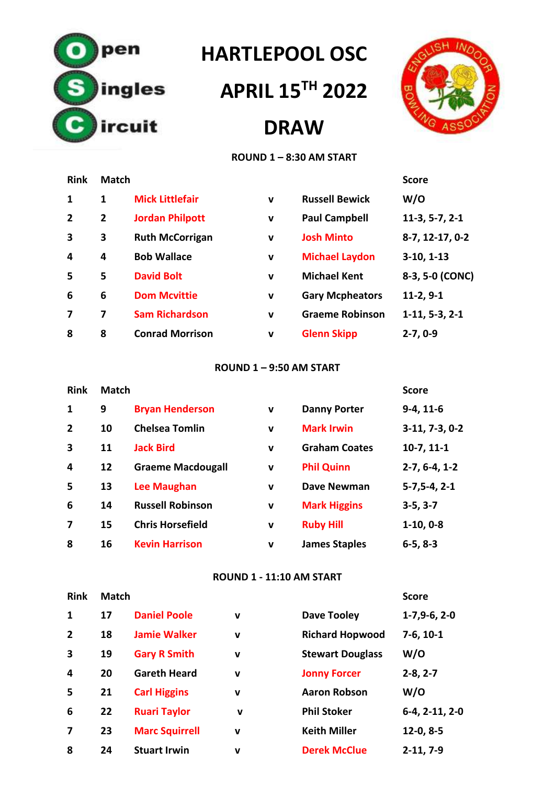

# **HARTLEPOOL OSC**

# **APRIL 15TH 2022**

# **DRAW**



#### **ROUND 1 – 8:30 AM START**

| <b>Rink</b>    | <b>Match</b>   |                        |             |                        | <b>Score</b>     |
|----------------|----------------|------------------------|-------------|------------------------|------------------|
| 1              | 1              | <b>Mick Littlefair</b> | $\mathbf v$ | <b>Russell Bewick</b>  | W/O              |
| $\overline{2}$ | $\overline{2}$ | <b>Jordan Philpott</b> | $\mathbf v$ | <b>Paul Campbell</b>   | $11-3, 5-7, 2-1$ |
| 3              | 3              | <b>Ruth McCorrigan</b> | $\mathbf v$ | <b>Josh Minto</b>      | 8-7, 12-17, 0-2  |
| 4              | 4              | <b>Bob Wallace</b>     | $\mathbf v$ | <b>Michael Laydon</b>  | $3-10, 1-13$     |
| 5              | 5              | <b>David Bolt</b>      | $\mathbf v$ | <b>Michael Kent</b>    | 8-3, 5-0 (CONC)  |
| 6              | 6              | <b>Dom Mcvittie</b>    | $\mathbf v$ | <b>Gary Mcpheators</b> | $11-2, 9-1$      |
| 7              | 7              | <b>Sam Richardson</b>  | $\mathbf v$ | <b>Graeme Robinson</b> | $1-11, 5-3, 2-1$ |
| 8              | 8              | <b>Conrad Morrison</b> | $\mathbf v$ | <b>Glenn Skipp</b>     | $2 - 7, 0 - 9$   |

#### **ROUND 1 – 9:50 AM START**

| <b>Rink</b>             | <b>Match</b> |                          |             |                      | <b>Score</b>     |
|-------------------------|--------------|--------------------------|-------------|----------------------|------------------|
| $\mathbf{1}$            | 9            | <b>Bryan Henderson</b>   | v           | <b>Danny Porter</b>  | $9-4, 11-6$      |
| $\overline{2}$          | 10           | <b>Chelsea Tomlin</b>    | $\mathbf v$ | <b>Mark Irwin</b>    | $3-11, 7-3, 0-2$ |
| $\overline{\mathbf{3}}$ | 11           | <b>Jack Bird</b>         | $\mathbf v$ | <b>Graham Coates</b> | $10-7, 11-1$     |
| 4                       | 12           | <b>Graeme Macdougall</b> | $\mathbf v$ | <b>Phil Quinn</b>    | $2-7, 6-4, 1-2$  |
| 5                       | 13           | <b>Lee Maughan</b>       | $\mathbf v$ | <b>Dave Newman</b>   | $5-7, 5-4, 2-1$  |
| 6                       | 14           | <b>Russell Robinson</b>  | v           | <b>Mark Higgins</b>  | $3-5, 3-7$       |
| 7                       | 15           | <b>Chris Horsefield</b>  | v           | <b>Ruby Hill</b>     | $1-10, 0-8$      |
| 8                       | 16           | <b>Kevin Harrison</b>    | v           | <b>James Staples</b> | $6-5, 8-3$       |

#### **ROUND 1 - 11:10 AM START**

| <b>Rink</b>             | <b>Match</b> |                       |             |                         | <b>Score</b>     |
|-------------------------|--------------|-----------------------|-------------|-------------------------|------------------|
| $\mathbf{1}$            | 17           | <b>Daniel Poole</b>   | $\mathbf v$ | <b>Dave Tooley</b>      | $1-7,9-6,2-0$    |
| $\overline{2}$          | 18           | <b>Jamie Walker</b>   | $\mathbf v$ | <b>Richard Hopwood</b>  | $7-6, 10-1$      |
| $\overline{\mathbf{3}}$ | 19           | <b>Gary R Smith</b>   | $\mathbf v$ | <b>Stewart Douglass</b> | W/O              |
| 4                       | 20           | <b>Gareth Heard</b>   | $\mathbf v$ | <b>Jonny Forcer</b>     | $2 - 8, 2 - 7$   |
| 5                       | 21           | <b>Carl Higgins</b>   | v           | <b>Aaron Robson</b>     | W/O              |
| 6                       | 22           | <b>Ruari Taylor</b>   | $\mathbf v$ | <b>Phil Stoker</b>      | $6-4, 2-11, 2-0$ |
| 7                       | 23           | <b>Marc Squirrell</b> | v           | <b>Keith Miller</b>     | $12-0, 8-5$      |
| 8                       | 24           | <b>Stuart Irwin</b>   | v           | <b>Derek McClue</b>     | $2-11, 7-9$      |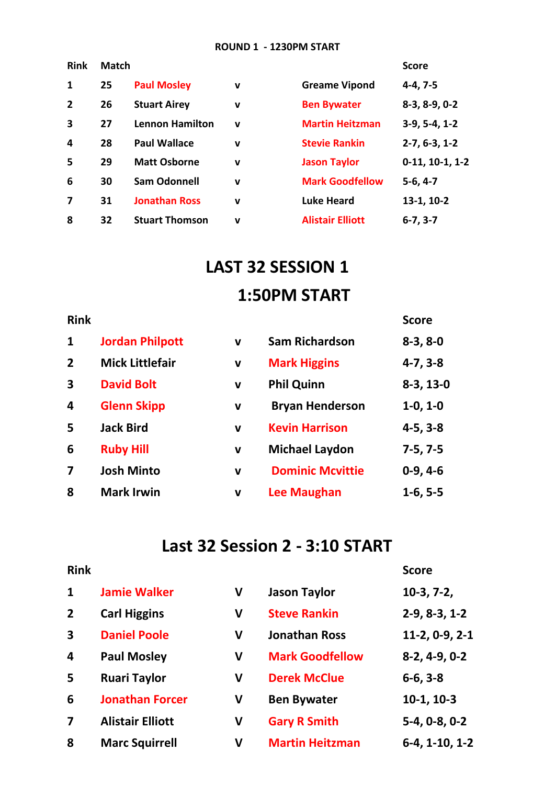#### **ROUND 1 - 1230PM START**

| <b>Match</b> |                        |             |                         | <b>Score</b>      |
|--------------|------------------------|-------------|-------------------------|-------------------|
| 25           | <b>Paul Mosley</b>     | $\mathbf v$ | <b>Greame Vipond</b>    | $4-4, 7-5$        |
| 26           | <b>Stuart Airey</b>    | $\mathbf v$ | <b>Ben Bywater</b>      | $8-3, 8-9, 0-2$   |
| 27           | <b>Lennon Hamilton</b> | $\mathbf v$ | <b>Martin Heitzman</b>  | $3-9, 5-4, 1-2$   |
| 28           | <b>Paul Wallace</b>    | v           | <b>Stevie Rankin</b>    | $2-7, 6-3, 1-2$   |
| 29           | <b>Matt Osborne</b>    | $\mathbf v$ | <b>Jason Taylor</b>     | $0-11, 10-1, 1-2$ |
| 30           | <b>Sam Odonnell</b>    | $\mathbf v$ | <b>Mark Goodfellow</b>  | $5-6, 4-7$        |
| 31           | <b>Jonathan Ross</b>   | $\mathbf v$ | <b>Luke Heard</b>       | $13-1, 10-2$      |
| 32           | <b>Stuart Thomson</b>  | v           | <b>Alistair Elliott</b> | $6-7, 3-7$        |
|              |                        |             |                         |                   |

# **LAST 32 SESSION 1 1:50PM START**

### **Rink** Score

| $\mathbf{1}$            | <b>Jordan Philpott</b> | $\mathbf v$ | <b>Sam Richardson</b>   | $8-3, 8-0$  |
|-------------------------|------------------------|-------------|-------------------------|-------------|
| $\overline{2}$          | <b>Mick Littlefair</b> | $\mathbf v$ | <b>Mark Higgins</b>     | $4-7, 3-8$  |
| $\overline{\mathbf{3}}$ | <b>David Bolt</b>      | $\mathbf v$ | <b>Phil Quinn</b>       | $8-3, 13-0$ |
| 4                       | <b>Glenn Skipp</b>     | v           | <b>Bryan Henderson</b>  | $1-0, 1-0$  |
| 5                       | <b>Jack Bird</b>       | $\mathbf v$ | <b>Kevin Harrison</b>   | $4-5, 3-8$  |
| 6                       | <b>Ruby Hill</b>       | v           | <b>Michael Laydon</b>   | $7-5, 7-5$  |
| $\overline{\mathbf{z}}$ | <b>Josh Minto</b>      | $\mathbf v$ | <b>Dominic Mcvittie</b> | $0-9, 4-6$  |
| 8                       | <b>Mark Irwin</b>      | v           | <b>Lee Maughan</b>      | $1-6, 5-5$  |

## **Last 32 Session 2 - 3:10 START**

#### **Rink Score**

| $\mathbf{1}$            | <b>Jamie Walker</b>     | V            | <b>Jason Taylor</b>    | $10-3, 7-2,$     |
|-------------------------|-------------------------|--------------|------------------------|------------------|
| $\overline{2}$          | <b>Carl Higgins</b>     | V            | <b>Steve Rankin</b>    | $2-9, 8-3, 1-2$  |
| $\overline{\mathbf{3}}$ | <b>Daniel Poole</b>     | V            | <b>Jonathan Ross</b>   | $11-2, 0-9, 2-1$ |
| $\overline{\mathbf{4}}$ | <b>Paul Mosley</b>      | V            | <b>Mark Goodfellow</b> | $8-2, 4-9, 0-2$  |
| 5                       | <b>Ruari Taylor</b>     | V            | <b>Derek McClue</b>    | $6-6, 3-8$       |
| 6                       | <b>Jonathan Forcer</b>  | $\mathsf{V}$ | <b>Ben Bywater</b>     | $10-1, 10-3$     |
| $\overline{\mathbf{z}}$ | <b>Alistair Elliott</b> | V            | <b>Gary R Smith</b>    | $5-4, 0-8, 0-2$  |
| 8                       | <b>Marc Squirrell</b>   | V            | <b>Martin Heitzman</b> | $6-4, 1-10, 1-2$ |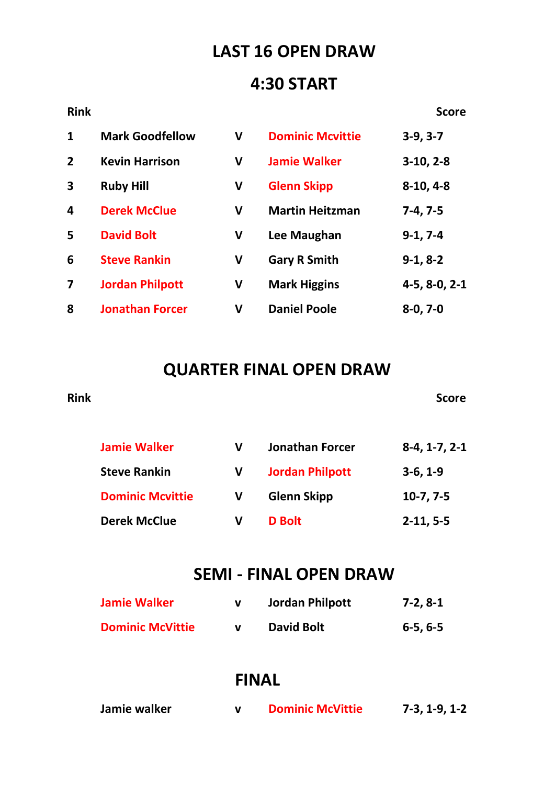## **LAST 16 OPEN DRAW**

### **4:30 START**

### **Rink** Score

| $\mathbf{1}$            | <b>Mark Goodfellow</b> | V | <b>Dominic Mcvittie</b> | $3-9, 3-7$      |
|-------------------------|------------------------|---|-------------------------|-----------------|
| $\overline{2}$          | <b>Kevin Harrison</b>  | V | <b>Jamie Walker</b>     | $3-10, 2-8$     |
| $\overline{\mathbf{3}}$ | <b>Ruby Hill</b>       | V | <b>Glenn Skipp</b>      | $8-10, 4-8$     |
| $\overline{\mathbf{4}}$ | <b>Derek McClue</b>    | V | <b>Martin Heitzman</b>  | $7-4, 7-5$      |
| 5                       | <b>David Bolt</b>      | V | Lee Maughan             | $9-1, 7-4$      |
| 6                       | <b>Steve Rankin</b>    | V | <b>Gary R Smith</b>     | $9-1, 8-2$      |
| 7                       | <b>Jordan Philpott</b> | V | <b>Mark Higgins</b>     | $4-5, 8-0, 2-1$ |
| 8                       | <b>Jonathan Forcer</b> | V | <b>Daniel Poole</b>     | $8-0, 7-0$      |

### **QUARTER FINAL OPEN DRAW**

**Rink** Score

| <b>Jamie Walker</b>     | v | <b>Jonathan Forcer</b> | $8-4, 1-7, 2-1$ |
|-------------------------|---|------------------------|-----------------|
| <b>Steve Rankin</b>     |   | <b>Jordan Philpott</b> | $3-6, 1-9$      |
| <b>Dominic Mcvittie</b> | v | <b>Glenn Skipp</b>     | $10-7, 7-5$     |
| <b>Derek McClue</b>     | v | <b>D</b> Bolt          | $2-11, 5-5$     |

### **SEMI - FINAL OPEN DRAW**

| <b>Jamie Walker</b>     | Jordan Philpott | 7-2, 8-1       |
|-------------------------|-----------------|----------------|
| <b>Dominic McVittie</b> | David Bolt      | $6 - 5, 6 - 5$ |

### **FINAL**

| Jamie walker |  | <b>Dominic McVittie</b> | $7-3, 1-9, 1-2$ |  |  |
|--------------|--|-------------------------|-----------------|--|--|
|--------------|--|-------------------------|-----------------|--|--|